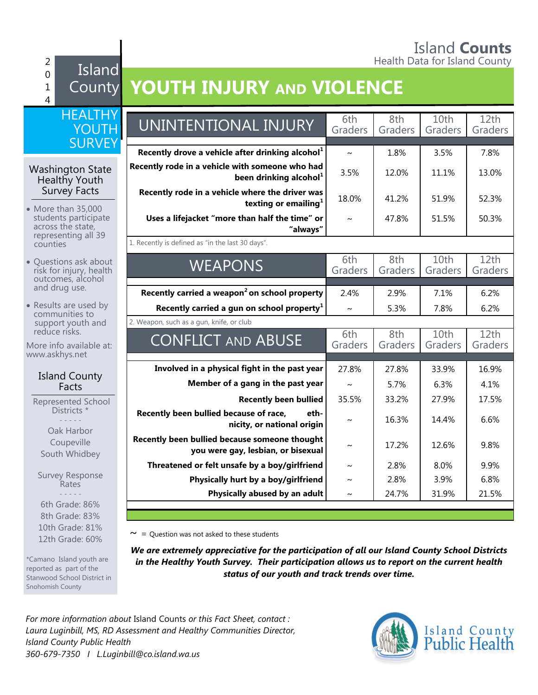#### Island **Counts** 2 **Figure 1.** The set of the set of the set of the Health Data for Island County

 $\Omega$ 1 4 Island

10th Grade: 81% 12th Grade: 60%

\*Camano Island youth are reported as part of the Stanwood School District in

Snohomish County

## County **YOUTH INJURY AND VIOLENCE**

| <b>HEALTHY</b><br>YOUTH                                               | UNINTENTIONAL INJURY                                                                  | 6th<br>Graders        | 8th<br>Graders | 10 <sub>th</sub><br>Graders | 12th<br>Graders |
|-----------------------------------------------------------------------|---------------------------------------------------------------------------------------|-----------------------|----------------|-----------------------------|-----------------|
| <b>SURVEY</b>                                                         | Recently drove a vehicle after drinking alcohol <sup>1</sup>                          |                       |                | 3.5%                        |                 |
| <b>Washington State</b><br>Healthy Youth                              | Recently rode in a vehicle with someone who had<br>been drinking alcohol <sup>1</sup> | $\sim$<br>3.5%        | 1.8%<br>12.0%  | 11.1%                       | 7.8%<br>13.0%   |
| Survey Facts<br>• More than 35,000                                    | Recently rode in a vehicle where the driver was<br>texting or emailing <sup>1</sup>   | 18.0%                 | 41.2%          | 51.9%                       | 52.3%           |
| students participate<br>across the state,                             | Uses a lifejacket "more than half the time" or<br>"always"                            | $\sim$                | 47.8%          | 51.5%                       | 50.3%           |
| representing all 39<br>counties                                       | 1. Recently is defined as "in the last 30 days".                                      |                       |                |                             |                 |
| • Questions ask about<br>risk for injury, health<br>outcomes, alcohol | <b>WEAPONS</b>                                                                        | 6th<br>Graders        | 8th<br>Graders | 10th<br>Graders             | 12th<br>Graders |
| and drug use.                                                         | Recently carried a weapon <sup>2</sup> on school property                             | 2.4%                  | 2.9%           | 7.1%                        | 6.2%            |
| • Results are used by<br>communities to                               | Recently carried a gun on school property $1$                                         | $\sim$                | 5.3%           | 7.8%                        | 6.2%            |
| support youth and                                                     | 2. Weapon, such as a gun, knife, or club                                              |                       |                |                             |                 |
| reduce risks.<br>More info available at:<br>www.askhys.net            | <b>CONFLICT AND ABUSE</b>                                                             | 6th<br>Graders        | 8th<br>Graders | 10th<br>Graders             | 12th<br>Graders |
|                                                                       | Involved in a physical fight in the past year                                         | 27.8%                 | 27.8%          | 33.9%                       | 16.9%           |
| <b>Island County</b><br>Facts                                         | Member of a gang in the past year                                                     | $\sim$                | 5.7%           | 6.3%                        | 4.1%            |
| Represented School                                                    | <b>Recently been bullied</b>                                                          | 35.5%                 | 33.2%          | 27.9%                       | 17.5%           |
| Districts *<br>Oak Harbor                                             | Recently been bullied because of race,<br>eth-<br>nicity, or national origin          | $\tilde{\phantom{a}}$ | 16.3%          | 14.4%                       | 6.6%            |
| Coupeville<br>South Whidbey                                           | Recently been bullied because someone thought<br>you were gay, lesbian, or bisexual   | $\sim$                | 17.2%          | 12.6%                       | 9.8%            |
|                                                                       | Threatened or felt unsafe by a boy/girlfriend                                         | $\sim$                | 2.8%           | 8.0%                        | 9.9%            |
| <b>Survey Response</b><br>Rates                                       | Physically hurt by a boy/girlfriend                                                   | $\sim$                | 2.8%           | 3.9%                        | 6.8%            |
|                                                                       | Physically abused by an adult                                                         | $\sim$                | 24.7%          | 31.9%                       | 21.5%           |
| 6th Grade: 86%<br>8th Grade: 83%                                      |                                                                                       |                       |                |                             |                 |

 $\sim$  = Question was not asked to these students

*We are extremely appreciative for the participation of all our Island County School Districts in the Healthy Youth Survey. Their participation allows us to report on the current health status of our youth and track trends over time.*

*For more information about* Island Counts *or this Fact Sheet, contact : Laura Luginbill, MS, RD Assessment and Healthy Communities Director, Island County Public Health 360-679-7350 I L.Luginbill@co.island.wa.us*